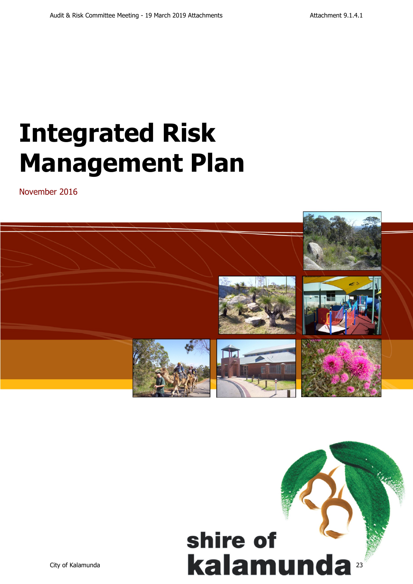# **Integrated Risk Management Plan**

November 2016



# shire of Suite of Suite of Suite of Suite of Suite of Suite of Suite of Suite of Suite of Suite of Suite of Suite of Suite of Suite of Suite of Suite of Suite of Suite of Suite of Suite of Suite of Suite of Suite of Suite of Suite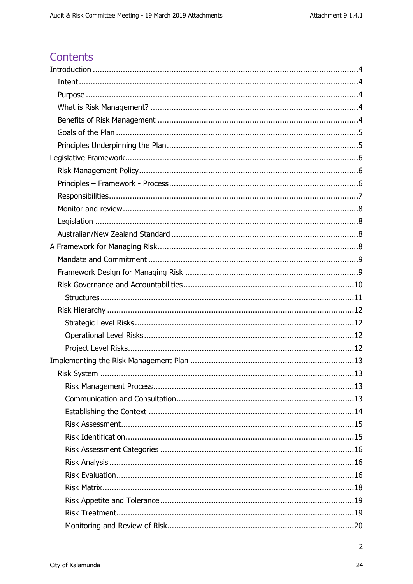# **Contents**

 $\overline{2}$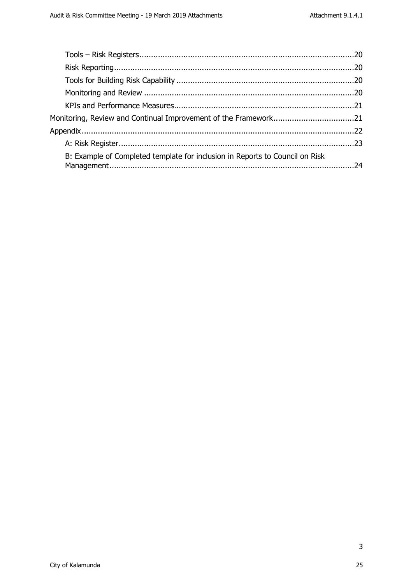| B: Example of Completed template for inclusion in Reports to Council on Risk |  |
|------------------------------------------------------------------------------|--|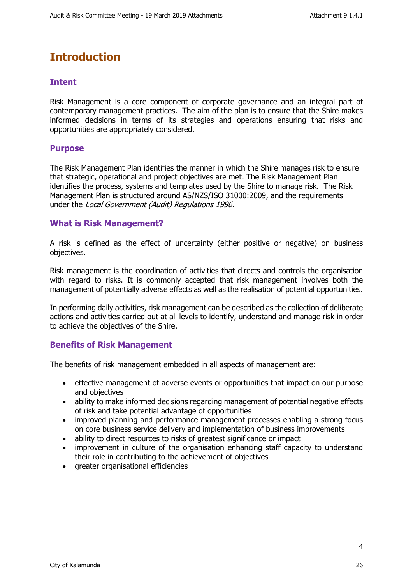# <span id="page-3-0"></span>**Introduction**

# <span id="page-3-1"></span>**Intent**

Risk Management is a core component of corporate governance and an integral part of contemporary management practices. The aim of the plan is to ensure that the Shire makes informed decisions in terms of its strategies and operations ensuring that risks and opportunities are appropriately considered.

# <span id="page-3-2"></span>**Purpose**

The Risk Management Plan identifies the manner in which the Shire manages risk to ensure that strategic, operational and project objectives are met. The Risk Management Plan identifies the process, systems and templates used by the Shire to manage risk. The Risk Management Plan is structured around AS/NZS/ISO 31000:2009, and the requirements under the *Local Government (Audit) Regulations 1996.*

## <span id="page-3-3"></span>**What is Risk Management?**

A risk is defined as the effect of uncertainty (either positive or negative) on business objectives.

Risk management is the coordination of activities that directs and controls the organisation with regard to risks. It is commonly accepted that risk management involves both the management of potentially adverse effects as well as the realisation of potential opportunities.

In performing daily activities, risk management can be described as the collection of deliberate actions and activities carried out at all levels to identify, understand and manage risk in order to achieve the objectives of the Shire.

# <span id="page-3-4"></span>**Benefits of Risk Management**

The benefits of risk management embedded in all aspects of management are:

- effective management of adverse events or opportunities that impact on our purpose and objectives
- ability to make informed decisions regarding management of potential negative effects of risk and take potential advantage of opportunities
- improved planning and performance management processes enabling a strong focus on core business service delivery and implementation of business improvements
- ability to direct resources to risks of greatest significance or impact
- improvement in culture of the organisation enhancing staff capacity to understand their role in contributing to the achievement of objectives
- greater organisational efficiencies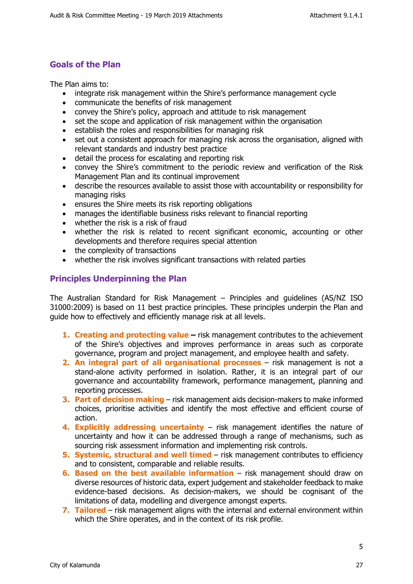# <span id="page-4-0"></span>**Goals of the Plan**

The Plan aims to:

- integrate risk management within the Shire's performance management cycle
- communicate the benefits of risk management
- convey the Shire's policy, approach and attitude to risk management
- set the scope and application of risk management within the organisation
- **•** establish the roles and responsibilities for managing risk
- set out a consistent approach for managing risk across the organisation, aligned with relevant standards and industry best practice
- detail the process for escalating and reporting risk
- convey the Shire's commitment to the periodic review and verification of the Risk Management Plan and its continual improvement
- describe the resources available to assist those with accountability or responsibility for managing risks
- ensures the Shire meets its risk reporting obligations
- manages the identifiable business risks relevant to financial reporting
- whether the risk is a risk of fraud
- whether the risk is related to recent significant economic, accounting or other developments and therefore requires special attention
- the complexity of transactions
- whether the risk involves significant transactions with related parties

# <span id="page-4-1"></span>**Principles Underpinning the Plan**

The Australian Standard for Risk Management – Principles and guidelines (AS/NZ ISO 31000:2009) is based on 11 best practice principles. These principles underpin the Plan and guide how to effectively and efficiently manage risk at all levels.

- **1. Creating and protecting value –** risk management contributes to the achievement of the Shire's objectives and improves performance in areas such as corporate governance, program and project management, and employee health and safety.
- **2. An integral part of all organisational processes**  risk management is not a stand-alone activity performed in isolation. Rather, it is an integral part of our governance and accountability framework, performance management, planning and reporting processes.
- **3. Part of decision making**  risk management aids decision-makers to make informed choices, prioritise activities and identify the most effective and efficient course of action.
- **4. Explicitly addressing uncertainty**  risk management identifies the nature of uncertainty and how it can be addressed through a range of mechanisms, such as sourcing risk assessment information and implementing risk controls.
- **5. Systemic, structural and well timed**  risk management contributes to efficiency and to consistent, comparable and reliable results.
- **6. Based on the best available information** risk management should draw on diverse resources of historic data, expert judgement and stakeholder feedback to make evidence-based decisions. As decision-makers, we should be cognisant of the limitations of data, modelling and divergence amongst experts.
- **7. Tailored**  risk management aligns with the internal and external environment within which the Shire operates, and in the context of its risk profile.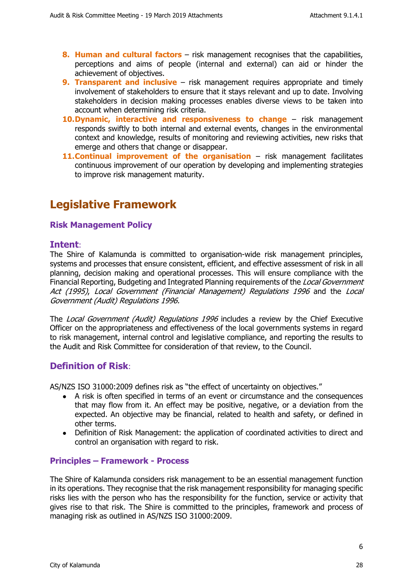- **8. Human and cultural factors** risk management recognises that the capabilities, perceptions and aims of people (internal and external) can aid or hinder the achievement of objectives.
- **9. Transparent and inclusive** risk management requires appropriate and timely involvement of stakeholders to ensure that it stays relevant and up to date. Involving stakeholders in decision making processes enables diverse views to be taken into account when determining risk criteria.
- **10.Dynamic, interactive and responsiveness to change**  risk management responds swiftly to both internal and external events, changes in the environmental context and knowledge, results of monitoring and reviewing activities, new risks that emerge and others that change or disappear.
- **11. Continual improvement of the organisation** risk management facilitates continuous improvement of our operation by developing and implementing strategies to improve risk management maturity.

# <span id="page-5-0"></span>**Legislative Framework**

# <span id="page-5-1"></span>**Risk Management Policy**

## **Intent**:

The Shire of Kalamunda is committed to organisation-wide risk management principles, systems and processes that ensure consistent, efficient, and effective assessment of risk in all planning, decision making and operational processes. This will ensure compliance with the Financial Reporting, Budgeting and Integrated Planning requirements of the *Local Government Act (1995)*, *Local Government (Financial Management) Regulations 1996* and the *Local Government (Audit) Regulations 1996.*

The *Local Government (Audit) Regulations 1996* includes a review by the Chief Executive Officer on the appropriateness and effectiveness of the local governments systems in regard to risk management, internal control and legislative compliance, and reporting the results to the Audit and Risk Committee for consideration of that review, to the Council.

# **Definition of Risk**:

AS/NZS ISO 31000:2009 defines risk as "the effect of uncertainty on objectives."

- A risk is often specified in terms of an event or circumstance and the consequences that may flow from it. An effect may be positive, negative, or a deviation from the expected. An objective may be financial, related to health and safety, or defined in other terms.
- Definition of Risk Management: the application of coordinated activities to direct and control an organisation with regard to risk.

## <span id="page-5-2"></span>**Principles – Framework - Process**

The Shire of Kalamunda considers risk management to be an essential management function in its operations. They recognise that the risk management responsibility for managing specific risks lies with the person who has the responsibility for the function, service or activity that gives rise to that risk. The Shire is committed to the principles, framework and process of managing risk as outlined in AS/NZS ISO 31000:2009.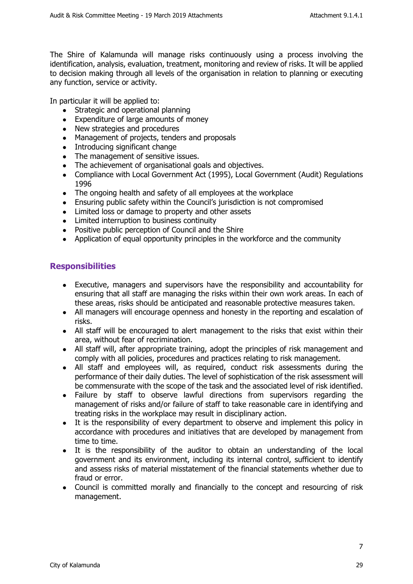The Shire of Kalamunda will manage risks continuously using a process involving the identification, analysis, evaluation, treatment, monitoring and review of risks. It will be applied to decision making through all levels of the organisation in relation to planning or executing any function, service or activity.

In particular it will be applied to:

- Strategic and operational planning
- Expenditure of large amounts of money
- New strategies and procedures
- Management of projects, tenders and proposals
- Introducing significant change
- The management of sensitive issues.
- The achievement of organisational goals and objectives.
- Compliance with Local Government Act (1995), Local Government (Audit) Regulations 1996
- The ongoing health and safety of all employees at the workplace
- Ensuring public safety within the Council's jurisdiction is not compromised
- Limited loss or damage to property and other assets
- Limited interruption to business continuity
- Positive public perception of Council and the Shire
- Application of equal opportunity principles in the workforce and the community

# <span id="page-6-0"></span>**Responsibilities**

- Executive, managers and supervisors have the responsibility and accountability for ensuring that all staff are managing the risks within their own work areas. In each of these areas, risks should be anticipated and reasonable protective measures taken.
- All managers will encourage openness and honesty in the reporting and escalation of risks.
- All staff will be encouraged to alert management to the risks that exist within their area, without fear of recrimination.
- All staff will, after appropriate training, adopt the principles of risk management and comply with all policies, procedures and practices relating to risk management.
- All staff and employees will, as required, conduct risk assessments during the performance of their daily duties. The level of sophistication of the risk assessment will be commensurate with the scope of the task and the associated level of risk identified.
- Failure by staff to observe lawful directions from supervisors regarding the management of risks and/or failure of staff to take reasonable care in identifying and treating risks in the workplace may result in disciplinary action.
- It is the responsibility of every department to observe and implement this policy in accordance with procedures and initiatives that are developed by management from time to time.
- It is the responsibility of the auditor to obtain an understanding of the local government and its environment, including its internal control, sufficient to identify and assess risks of material misstatement of the financial statements whether due to fraud or error.
- <span id="page-6-1"></span>• Council is committed morally and financially to the concept and resourcing of risk management.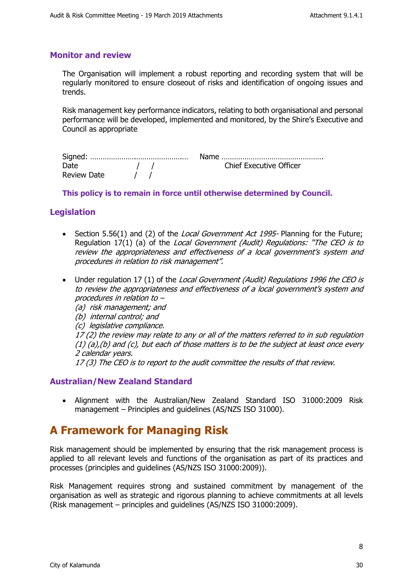## **Monitor and review**

The Organisation will implement a robust reporting and recording system that will be regularly monitored to ensure closeout of risks and identification of ongoing issues and trends.

Risk management key performance indicators, relating to both organisational and personal performance will be developed, implemented and monitored, by the Shire's Executive and Council as appropriate

|             | Name                           |
|-------------|--------------------------------|
| Date        | <b>Chief Executive Officer</b> |
| Review Date |                                |

#### **This policy is to remain in force until otherwise determined by Council.**

# <span id="page-7-0"></span>**Legislation**

- Section 5.56(1) and (2) of the *Local Government Act 1995-* Planning for the Future; Regulation 17(1) (a) of the *Local Government (Audit) Regulations: "The CEO is to review the appropriateness and effectiveness of a local government's system and procedures in relation to risk management".*
- Under regulation 17 (1) of the *Local Government (Audit) Regulations 1996 the CEO is to review the appropriateness and effectiveness of a local government's system and procedures in relation to –* 
	- *(a) risk management; and*
	- *(b) internal control; and*
	- *(c) legislative compliance.*

*17 (2) the review may relate to any or all of the matters referred to in sub regulation (1) (a),(b) and (c), but each of those matters is to be the subject at least once every 2 calendar years.*

*17 (3) The CEO is to report to the audit committee the results of that review.*

## <span id="page-7-1"></span>**Australian/New Zealand Standard**

 Alignment with the Australian/New Zealand Standard ISO 31000:2009 Risk management – Principles and guidelines (AS/NZS ISO 31000).

# <span id="page-7-2"></span>**A Framework for Managing Risk**

Risk management should be implemented by ensuring that the risk management process is applied to all relevant levels and functions of the organisation as part of its practices and processes (principles and guidelines (AS/NZS ISO 31000:2009)).

Risk Management requires strong and sustained commitment by management of the organisation as well as strategic and rigorous planning to achieve commitments at all levels (Risk management – principles and guidelines (AS/NZS ISO 31000:2009).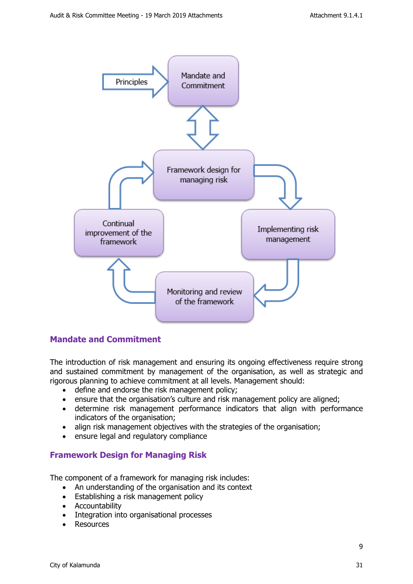

## <span id="page-8-0"></span>**Mandate and Commitment**

The introduction of risk management and ensuring its ongoing effectiveness require strong and sustained commitment by management of the organisation, as well as strategic and rigorous planning to achieve commitment at all levels. Management should:

- define and endorse the risk management policy;
- ensure that the organisation's culture and risk management policy are aligned;
- determine risk management performance indicators that align with performance indicators of the organisation;
- align risk management objectives with the strategies of the organisation;
- ensure legal and regulatory compliance

# <span id="page-8-1"></span>**Framework Design for Managing Risk**

The component of a framework for managing risk includes:

- An understanding of the organisation and its context
- **Establishing a risk management policy**
- **•** Accountability
- Integration into organisational processes
- Resources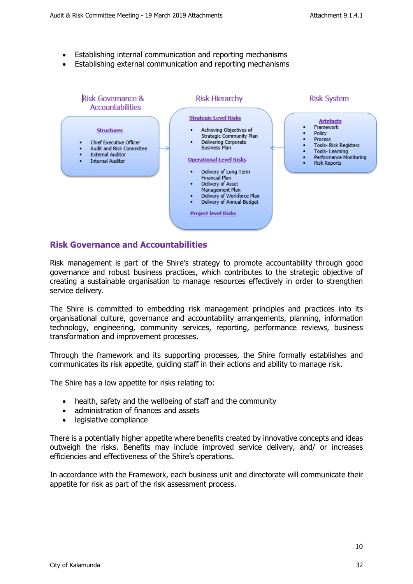- Establishing internal communication and reporting mechanisms
- Establishing external communication and reporting mechanisms



#### <span id="page-9-0"></span>**Risk Governance and Accountabilities**

Risk management is part of the Shire's strategy to promote accountability through good governance and robust business practices, which contributes to the strategic objective of creating a sustainable organisation to manage resources effectively in order to strengthen service delivery.

The Shire is committed to embedding risk management principles and practices into its organisational culture, governance and accountability arrangements, planning, information technology, engineering, community services, reporting, performance reviews, business transformation and improvement processes.

Through the framework and its supporting processes, the Shire formally establishes and communicates its risk appetite, guiding staff in their actions and ability to manage risk.

The Shire has a low appetite for risks relating to:

- health, safety and the wellbeing of staff and the community
- administration of finances and assets
- legislative compliance

There is a potentially higher appetite where benefits created by innovative concepts and ideas outweigh the risks. Benefits may include improved service delivery, and/ or increases efficiencies and effectiveness of the Shire's operations.

In accordance with the Framework, each business unit and directorate will communicate their appetite for risk as part of the risk assessment process.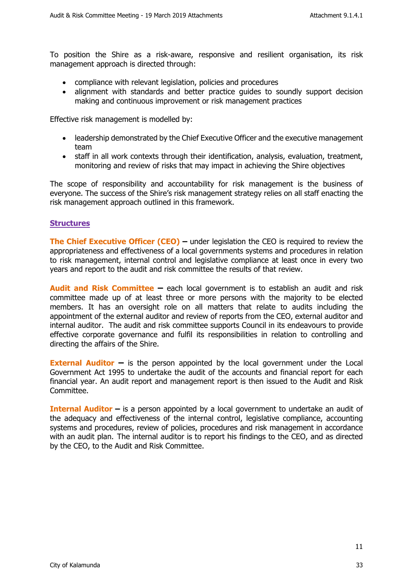To position the Shire as a risk-aware, responsive and resilient organisation, its risk management approach is directed through:

- compliance with relevant legislation, policies and procedures
- alignment with standards and better practice quides to soundly support decision making and continuous improvement or risk management practices

Effective risk management is modelled by:

- leadership demonstrated by the Chief Executive Officer and the executive management team
- staff in all work contexts through their identification, analysis, evaluation, treatment, monitoring and review of risks that may impact in achieving the Shire objectives

The scope of responsibility and accountability for risk management is the business of everyone. The success of the Shire's risk management strategy relies on all staff enacting the risk management approach outlined in this framework.

#### <span id="page-10-0"></span>**Structures**

**The Chief Executive Officer (CEO)** – under legislation the CEO is required to review the appropriateness and effectiveness of a local governments systems and procedures in relation to risk management, internal control and legislative compliance at least once in every two years and report to the audit and risk committee the results of that review.

**Audit and Risk Committee –** each local government is to establish an audit and risk committee made up of at least three or more persons with the majority to be elected members. It has an oversight role on all matters that relate to audits including the appointment of the external auditor and review of reports from the CEO, external auditor and internal auditor. The audit and risk committee supports Council in its endeavours to provide effective corporate governance and fulfil its responsibilities in relation to controlling and directing the affairs of the Shire.

**External Auditor –** is the person appointed by the local government under the Local Government Act 1995 to undertake the audit of the accounts and financial report for each financial year. An audit report and management report is then issued to the Audit and Risk Committee.

**Internal Auditor –** is a person appointed by a local government to undertake an audit of the adequacy and effectiveness of the internal control, legislative compliance, accounting systems and procedures, review of policies, procedures and risk management in accordance with an audit plan. The internal auditor is to report his findings to the CEO, and as directed by the CEO, to the Audit and Risk Committee.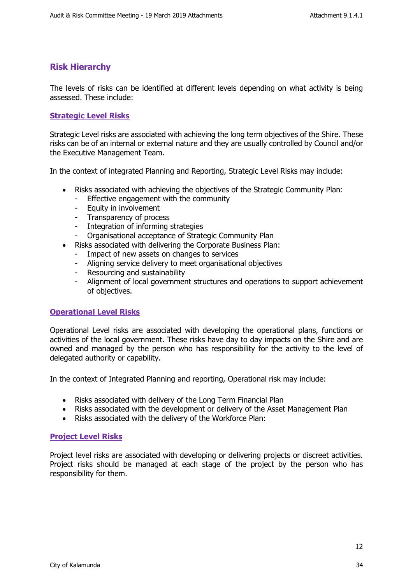# <span id="page-11-0"></span>**Risk Hierarchy**

The levels of risks can be identified at different levels depending on what activity is being assessed. These include:

#### <span id="page-11-1"></span>**Strategic Level Risks**

Strategic Level risks are associated with achieving the long term objectives of the Shire. These risks can be of an internal or external nature and they are usually controlled by Council and/or the Executive Management Team.

In the context of integrated Planning and Reporting, Strategic Level Risks may include:

- Risks associated with achieving the objectives of the Strategic Community Plan:
	- Effective engagement with the community
	- Equity in involvement
	- Transparency of process
	- Integration of informing strategies
	- Organisational acceptance of Strategic Community Plan
- Risks associated with delivering the Corporate Business Plan:
	- Impact of new assets on changes to services
	- Aligning service delivery to meet organisational objectives
	- Resourcing and sustainability
	- Alignment of local government structures and operations to support achievement of objectives.

#### <span id="page-11-2"></span>**Operational Level Risks**

Operational Level risks are associated with developing the operational plans, functions or activities of the local government. These risks have day to day impacts on the Shire and are owned and managed by the person who has responsibility for the activity to the level of delegated authority or capability.

In the context of Integrated Planning and reporting, Operational risk may include:

- Risks associated with delivery of the Long Term Financial Plan
- Risks associated with the development or delivery of the Asset Management Plan
- Risks associated with the delivery of the Workforce Plan:

#### <span id="page-11-3"></span>**Project Level Risks**

Project level risks are associated with developing or delivering projects or discreet activities. Project risks should be managed at each stage of the project by the person who has responsibility for them.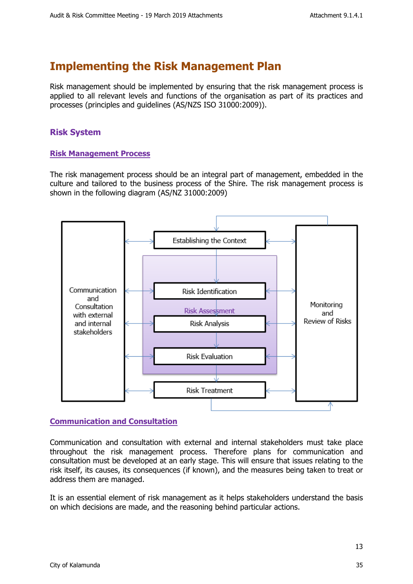# <span id="page-12-0"></span>**Implementing the Risk Management Plan**

Risk management should be implemented by ensuring that the risk management process is applied to all relevant levels and functions of the organisation as part of its practices and processes (principles and guidelines (AS/NZS ISO 31000:2009)).

# <span id="page-12-1"></span>**Risk System**

#### <span id="page-12-2"></span>**Risk Management Process**

The risk management process should be an integral part of management, embedded in the culture and tailored to the business process of the Shire. The risk management process is shown in the following diagram (AS/NZ 31000:2009)



## <span id="page-12-3"></span>**Communication and Consultation**

Communication and consultation with external and internal stakeholders must take place throughout the risk management process. Therefore plans for communication and consultation must be developed at an early stage. This will ensure that issues relating to the risk itself, its causes, its consequences (if known), and the measures being taken to treat or address them are managed.

It is an essential element of risk management as it helps stakeholders understand the basis on which decisions are made, and the reasoning behind particular actions.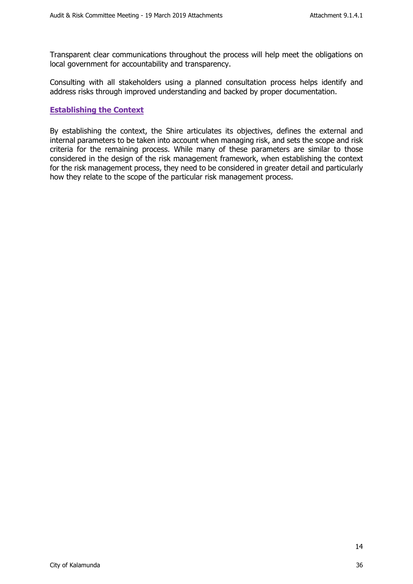Transparent clear communications throughout the process will help meet the obligations on local government for accountability and transparency.

Consulting with all stakeholders using a planned consultation process helps identify and address risks through improved understanding and backed by proper documentation.

#### <span id="page-13-0"></span>**Establishing the Context**

By establishing the context, the Shire articulates its objectives, defines the external and internal parameters to be taken into account when managing risk, and sets the scope and risk criteria for the remaining process. While many of these parameters are similar to those considered in the design of the risk management framework, when establishing the context for the risk management process, they need to be considered in greater detail and particularly how they relate to the scope of the particular risk management process.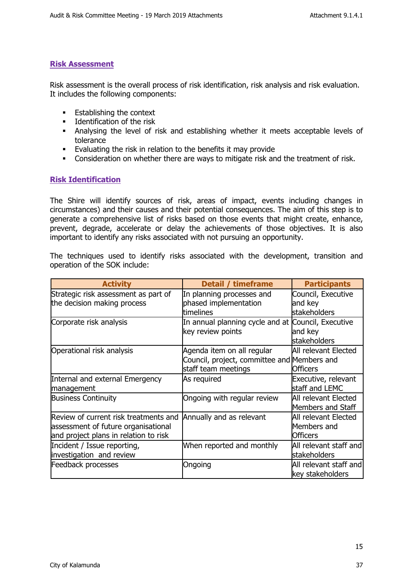#### <span id="page-14-0"></span>**Risk Assessment**

Risk assessment is the overall process of risk identification, risk analysis and risk evaluation. It includes the following components:

- **Establishing the context**
- **Identification of the risk**
- Analysing the level of risk and establishing whether it meets acceptable levels of tolerance
- Evaluating the risk in relation to the benefits it may provide
- Consideration on whether there are ways to mitigate risk and the treatment of risk.

#### <span id="page-14-1"></span>**Risk Identification**

The Shire will identify sources of risk, areas of impact, events including changes in circumstances) and their causes and their potential consequences. The aim of this step is to generate a comprehensive list of risks based on those events that might create, enhance, prevent, degrade, accelerate or delay the achievements of those objectives. It is also important to identify any risks associated with not pursuing an opportunity.

The techniques used to identify risks associated with the development, transition and operation of the SOK include:

<span id="page-14-2"></span>

| <b>Activity</b>                       | Detail / timeframe                                 | <b>Participants</b>    |
|---------------------------------------|----------------------------------------------------|------------------------|
| Strategic risk assessment as part of  | In planning processes and                          | Council, Executive     |
| the decision making process           | phased implementation                              | and key                |
|                                       | timelines                                          | <b>stakeholders</b>    |
| Corporate risk analysis               | In annual planning cycle and at Council, Executive |                        |
|                                       | key review points                                  | and key                |
|                                       |                                                    | <b>stakeholders</b>    |
| Operational risk analysis             | Agenda item on all regular                         | All relevant Elected   |
|                                       | Council, project, committee and Members and        |                        |
|                                       | staff team meetings                                | <b>Officers</b>        |
| Internal and external Emergency       | As required                                        | Executive, relevant    |
| <b>management</b>                     |                                                    | staff and LEMC         |
| <b>Business Continuity</b>            | Ongoing with regular review                        | All relevant Elected   |
|                                       |                                                    | Members and Staff      |
| Review of current risk treatments and | Annually and as relevant                           | All relevant Elected   |
| assessment of future organisational   |                                                    | Members and            |
| and project plans in relation to risk |                                                    | <b>Officers</b>        |
| Incident / Issue reporting,           | When reported and monthly                          | All relevant staff and |
| investigation and review              |                                                    | stakeholders           |
| Feedback processes                    | Ongoing                                            | All relevant staff and |
|                                       |                                                    | key stakeholders       |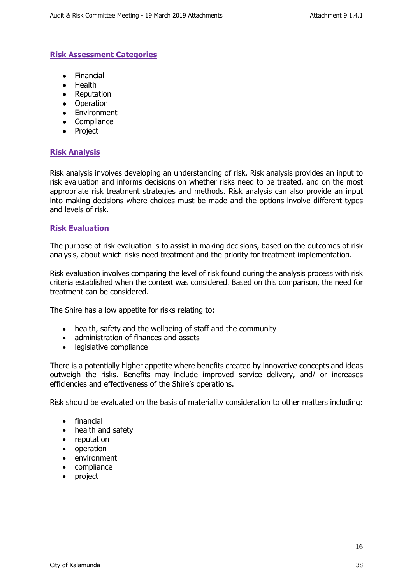#### **Risk Assessment Categories**

- Financial
- Health
- Reputation
- Operation
- Environment
- Compliance
- Project

#### <span id="page-15-0"></span>**Risk Analysis**

Risk analysis involves developing an understanding of risk. Risk analysis provides an input to risk evaluation and informs decisions on whether risks need to be treated, and on the most appropriate risk treatment strategies and methods. Risk analysis can also provide an input into making decisions where choices must be made and the options involve different types and levels of risk.

#### <span id="page-15-1"></span>**Risk Evaluation**

The purpose of risk evaluation is to assist in making decisions, based on the outcomes of risk analysis, about which risks need treatment and the priority for treatment implementation.

Risk evaluation involves comparing the level of risk found during the analysis process with risk criteria established when the context was considered. Based on this comparison, the need for treatment can be considered.

The Shire has a low appetite for risks relating to:

- health, safety and the wellbeing of staff and the community
- administration of finances and assets
- legislative compliance

There is a potentially higher appetite where benefits created by innovative concepts and ideas outweigh the risks. Benefits may include improved service delivery, and/ or increases efficiencies and effectiveness of the Shire's operations.

Risk should be evaluated on the basis of materiality consideration to other matters including:

- financial
- health and safety
- reputation
- operation
- environment
- compliance
- project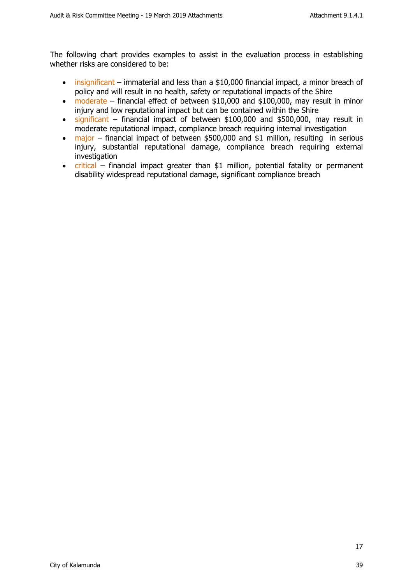The following chart provides examples to assist in the evaluation process in establishing whether risks are considered to be:

- insignificant immaterial and less than a \$10,000 financial impact, a minor breach of policy and will result in no health, safety or reputational impacts of the Shire
- moderate financial effect of between \$10,000 and \$100,000, may result in minor injury and low reputational impact but can be contained within the Shire
- significant financial impact of between \$100,000 and \$500,000, may result in moderate reputational impact, compliance breach requiring internal investigation
- major financial impact of between \$500,000 and \$1 million, resulting in serious injury, substantial reputational damage, compliance breach requiring external investigation
- critical financial impact greater than \$1 million, potential fatality or permanent disability widespread reputational damage, significant compliance breach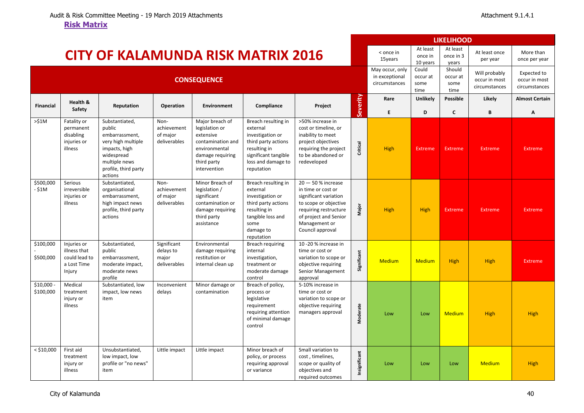<span id="page-17-0"></span>

|                          |                                                                       |                                                                                                                                                     |                                                   |                                                                                                                                         |                                                                                                                                                        |                                                                                                                                                                                     |               |                                                    |                                   | <b>LIKELIHOOD</b>                  |                                                 |                                               |
|--------------------------|-----------------------------------------------------------------------|-----------------------------------------------------------------------------------------------------------------------------------------------------|---------------------------------------------------|-----------------------------------------------------------------------------------------------------------------------------------------|--------------------------------------------------------------------------------------------------------------------------------------------------------|-------------------------------------------------------------------------------------------------------------------------------------------------------------------------------------|---------------|----------------------------------------------------|-----------------------------------|------------------------------------|-------------------------------------------------|-----------------------------------------------|
|                          |                                                                       | <b>CITY OF KALAMUNDA RISK MATRIX 2016</b>                                                                                                           |                                                   |                                                                                                                                         |                                                                                                                                                        |                                                                                                                                                                                     |               | < once in<br>15years                               | At least<br>once in<br>10 years   | At least<br>once in 3<br>years     | At least once<br>per year                       | More than<br>once per year                    |
|                          |                                                                       |                                                                                                                                                     |                                                   | <b>CONSEQUENCE</b>                                                                                                                      |                                                                                                                                                        |                                                                                                                                                                                     |               | May occur, only<br>in exceptional<br>circumstances | Could<br>occur at<br>some<br>time | Should<br>occur at<br>some<br>time | Will probably<br>occur in most<br>circumstances | Expected to<br>occur in most<br>circumstances |
| <b>Financial</b>         | Health &<br>Safety                                                    | Reputation                                                                                                                                          | Operation                                         | <b>Environment</b>                                                                                                                      | Compliance                                                                                                                                             | Project                                                                                                                                                                             | Severity      | Rare<br>E.                                         | Unlikely<br>D                     | <b>Possible</b><br>$\mathsf{c}$    | Likely<br>B                                     | <b>Almost Certain</b><br>Α                    |
| >51M                     | Fatality or<br>permanent<br>disabling<br>injuries or<br>illness       | Substantiated,<br>public<br>embarrassment,<br>very high multiple<br>impacts, high<br>widespread<br>multiple news<br>profile, third party<br>actions | Non-<br>achievement<br>of major<br>deliverables   | Major breach of<br>legislation or<br>extensive<br>contamination and<br>environmental<br>damage requiring<br>third party<br>intervention | Breach resulting in<br>external<br>investigation or<br>third party actions<br>resulting in<br>significant tangible<br>loss and damage to<br>reputation | >50% increase in<br>cost or timeline, or<br>inability to meet<br>project objectives<br>requiring the project<br>to be abandoned or<br>redeveloped                                   | Critical      | <b>High</b>                                        | <b>Extreme</b>                    | Extreme                            | <b>Extreme</b>                                  | <b>Extreme</b>                                |
| \$500,000<br>- \$1M      | Serious<br>irreversible<br>injuries or<br>illness                     | Substantiated,<br>organisational<br>embarrassment,<br>high impact news<br>profile, third party<br>actions                                           | Non-<br>achievement<br>of major<br>deliverables   | Minor Breach of<br>legislation /<br>significant<br>contamination or<br>damage requiring<br>third party<br>assistance                    | Breach resulting in<br>external<br>investigation or<br>third party actions<br>resulting in<br>tangible loss and<br>some<br>damage to<br>reputation     | $20 - 50$ % increase<br>in time or cost or<br>significant variation<br>to scope or objective<br>requiring restructure<br>of project and Senior<br>Management or<br>Council approval | Major         | <b>High</b>                                        | <b>High</b>                       | <b>Extreme</b>                     | <b>Extreme</b>                                  | Extreme                                       |
| \$100,000<br>\$500,000   | Injuries or<br>illness that<br>could lead to<br>a Lost Time<br>Injury | Substantiated,<br>public<br>embarrassment,<br>moderate impact,<br>moderate news<br>profile                                                          | Significant<br>delays to<br>major<br>deliverables | Environmental<br>damage requiring<br>restitution or<br>internal clean up                                                                | Breach requiring<br>internal<br>investigation,<br>treatment or<br>moderate damage<br>control                                                           | 10-20 % increase in<br>time or cost or<br>variation to scope or<br>objective requiring<br>Senior Management<br>approval                                                             | Significant   | <b>Medium</b>                                      | <b>Medium</b>                     | <b>High</b>                        | <b>High</b>                                     | <b>Extreme</b>                                |
| $$10,000 -$<br>\$100,000 | Medical<br>treatment<br>injury or<br>illness                          | Substantiated, low<br>impact, low news<br>item                                                                                                      | Inconvenient<br>delays                            | Minor damage or<br>contamination                                                                                                        | Breach of policy,<br>process or<br>legislative<br>requirement<br>requiring attention<br>of minimal damage<br>control                                   | 5-10% increase in<br>time or cost or<br>variation to scope or<br>objective requiring<br>managers approval                                                                           | Moderate      | Low                                                | Low                               | <b>Medium</b>                      | <b>High</b>                                     | <b>High</b>                                   |
| $<$ \$10,000             | First aid<br>treatment<br>injury or<br>illness                        | Unsubstantiated,<br>low impact, low<br>profile or "no news"<br>item                                                                                 | Little impact                                     | Little impact                                                                                                                           | Minor breach of<br>policy, or process<br>requiring approval<br>or variance                                                                             | Small variation to<br>cost, timelines,<br>scope or quality of<br>objectives and<br>required outcomes                                                                                | Insignificant | Low                                                | Low                               | Low                                | <b>Medium</b>                                   | <b>High</b>                                   |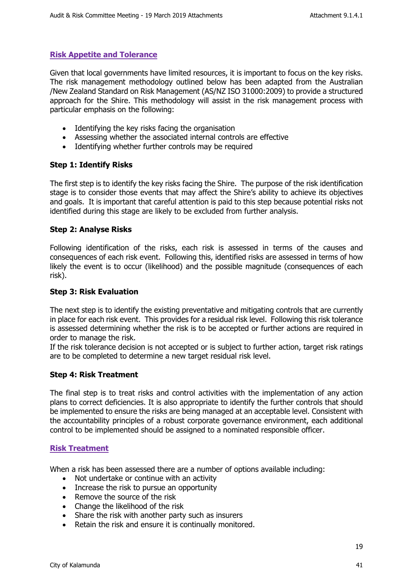## <span id="page-18-0"></span>**Risk Appetite and Tolerance**

Given that local governments have limited resources, it is important to focus on the key risks. The risk management methodology outlined below has been adapted from the Australian /New Zealand Standard on Risk Management (AS/NZ ISO 31000:2009) to provide a structured approach for the Shire. This methodology will assist in the risk management process with particular emphasis on the following:

- Identifying the key risks facing the organisation
- Assessing whether the associated internal controls are effective
- Identifying whether further controls may be required

#### **Step 1: Identify Risks**

The first step is to identify the key risks facing the Shire. The purpose of the risk identification stage is to consider those events that may affect the Shire's ability to achieve its objectives and goals. It is important that careful attention is paid to this step because potential risks not identified during this stage are likely to be excluded from further analysis.

#### **Step 2: Analyse Risks**

Following identification of the risks, each risk is assessed in terms of the causes and consequences of each risk event. Following this, identified risks are assessed in terms of how likely the event is to occur (likelihood) and the possible magnitude (consequences of each risk).

#### **Step 3: Risk Evaluation**

The next step is to identify the existing preventative and mitigating controls that are currently in place for each risk event. This provides for a residual risk level. Following this risk tolerance is assessed determining whether the risk is to be accepted or further actions are required in order to manage the risk.

If the risk tolerance decision is not accepted or is subject to further action, target risk ratings are to be completed to determine a new target residual risk level.

#### **Step 4: Risk Treatment**

The final step is to treat risks and control activities with the implementation of any action plans to correct deficiencies. It is also appropriate to identify the further controls that should be implemented to ensure the risks are being managed at an acceptable level. Consistent with the accountability principles of a robust corporate governance environment, each additional control to be implemented should be assigned to a nominated responsible officer.

#### <span id="page-18-1"></span>**Risk Treatment**

When a risk has been assessed there are a number of options available including:

- Not undertake or continue with an activity
- Increase the risk to pursue an opportunity
- Remove the source of the risk
- Change the likelihood of the risk
- Share the risk with another party such as insurers
- Retain the risk and ensure it is continually monitored.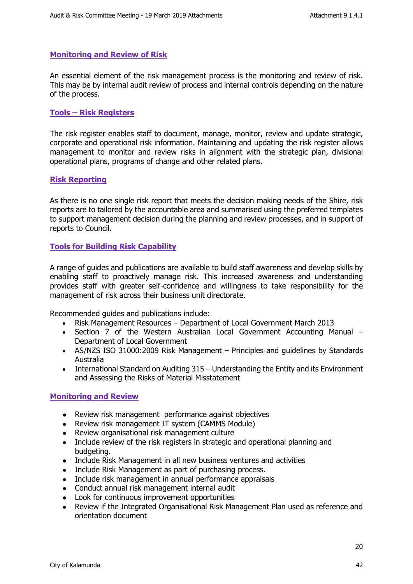#### <span id="page-19-0"></span>**Monitoring and Review of Risk**

An essential element of the risk management process is the monitoring and review of risk. This may be by internal audit review of process and internal controls depending on the nature of the process.

#### <span id="page-19-1"></span>**Tools – Risk Registers**

The risk register enables staff to document, manage, monitor, review and update strategic, corporate and operational risk information. Maintaining and updating the risk register allows management to monitor and review risks in alignment with the strategic plan, divisional operational plans, programs of change and other related plans.

#### <span id="page-19-2"></span>**Risk Reporting**

As there is no one single risk report that meets the decision making needs of the Shire, risk reports are to tailored by the accountable area and summarised using the preferred templates to support management decision during the planning and review processes, and in support of reports to Council.

#### <span id="page-19-3"></span>**Tools for Building Risk Capability**

A range of guides and publications are available to build staff awareness and develop skills by enabling staff to proactively manage risk. This increased awareness and understanding provides staff with greater self-confidence and willingness to take responsibility for the management of risk across their business unit directorate.

Recommended guides and publications include:

- Risk Management Resources Department of Local Government March 2013
- Section 7 of the Western Australian Local Government Accounting Manual Department of Local Government
- AS/NZS ISO 31000:2009 Risk Management Principles and guidelines by Standards Australia
- International Standard on Auditing 315 Understanding the Entity and its Environment and Assessing the Risks of Material Misstatement

#### <span id="page-19-4"></span>**Monitoring and Review**

- Review risk management performance against objectives
- Review risk management IT system (CAMMS Module)
- Review organisational risk management culture
- Include review of the risk registers in strategic and operational planning and budgeting.
- Include Risk Management in all new business ventures and activities
- Include Risk Management as part of purchasing process.
- Include risk management in annual performance appraisals
- Conduct annual risk management internal audit
- Look for continuous improvement opportunities
- Review if the Integrated Organisational Risk Management Plan used as reference and orientation document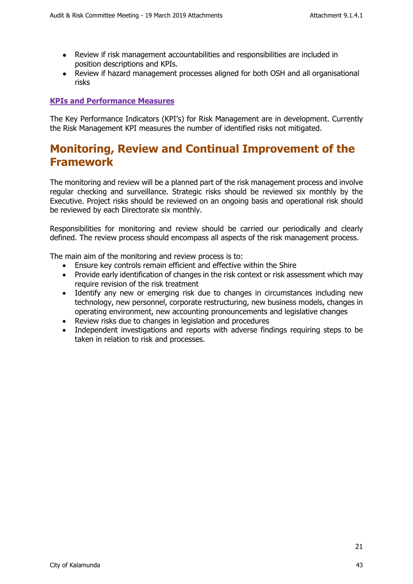- Review if risk management accountabilities and responsibilities are included in position descriptions and KPIs.
- Review if hazard management processes aligned for both OSH and all organisational risks

## <span id="page-20-0"></span>**KPIs and Performance Measures**

The Key Performance Indicators (KPI's) for Risk Management are in development. Currently the Risk Management KPI measures the number of identified risks not mitigated.

# <span id="page-20-1"></span>**Monitoring, Review and Continual Improvement of the Framework**

The monitoring and review will be a planned part of the risk management process and involve regular checking and surveillance. Strategic risks should be reviewed six monthly by the Executive. Project risks should be reviewed on an ongoing basis and operational risk should be reviewed by each Directorate six monthly.

Responsibilities for monitoring and review should be carried our periodically and clearly defined. The review process should encompass all aspects of the risk management process.

The main aim of the monitoring and review process is to:

- Ensure key controls remain efficient and effective within the Shire
- Provide early identification of changes in the risk context or risk assessment which may require revision of the risk treatment
- Identify any new or emerging risk due to changes in circumstances including new technology, new personnel, corporate restructuring, new business models, changes in operating environment, new accounting pronouncements and legislative changes
- Review risks due to changes in legislation and procedures
- Independent investigations and reports with adverse findings requiring steps to be taken in relation to risk and processes.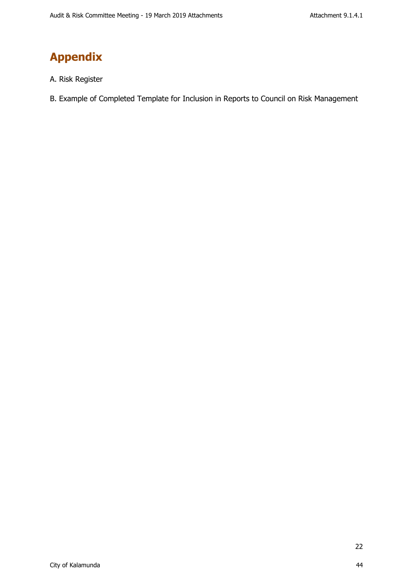# <span id="page-21-0"></span>**Appendix**

- A. Risk Register
- B. Example of Completed Template for Inclusion in Reports to Council on Risk Management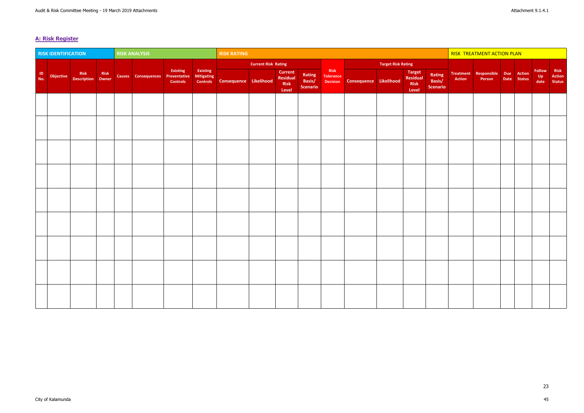# <span id="page-22-0"></span>**A: Risk Register**

|                | <b>RISK IDENTIFICATION</b> |                                |  | <b>RISK ANALYSIS</b>             |                             |                        | <b>RISK RATING</b>                     |                            |                                        |                                     |                                             |                        | <b>RISK TREATMENT ACTION PLAN</b> |                                     |                                     |        |                                                                |  |  |                     |                                 |
|----------------|----------------------------|--------------------------------|--|----------------------------------|-----------------------------|------------------------|----------------------------------------|----------------------------|----------------------------------------|-------------------------------------|---------------------------------------------|------------------------|-----------------------------------|-------------------------------------|-------------------------------------|--------|----------------------------------------------------------------|--|--|---------------------|---------------------------------|
|                |                            |                                |  |                                  |                             |                        |                                        | <b>Current Risk Rating</b> |                                        |                                     |                                             |                        | <b>Target Risk Rating</b>         |                                     |                                     |        |                                                                |  |  |                     |                                 |
| $\frac{1}{10}$ | Objective                  | Risk Risk<br>Description Owner |  | Causes Consequences Preventative | Existing<br><b>Controls</b> | Existing<br>Mitigating | <b>Controls</b> Consequence Likelihood |                            | Current  <br>Residual<br>Risk<br>Level | Rating<br>Basis/<br><b>Scenario</b> | Risk<br><b>Tolerance</b><br><b>Decision</b> | Consequence Likelihood |                                   | Target<br>Residual<br>Risk<br>Level | Rating<br>Basis/<br><b>Scenario</b> | Action | Treatment   Responsible   Due   Action  <br>Person Date Status |  |  | Follow<br>$Up$ date | Risk<br>Action<br><b>Status</b> |
|                |                            |                                |  |                                  |                             |                        |                                        |                            |                                        |                                     |                                             |                        |                                   |                                     |                                     |        |                                                                |  |  |                     |                                 |
|                |                            |                                |  |                                  |                             |                        |                                        |                            |                                        |                                     |                                             |                        |                                   |                                     |                                     |        |                                                                |  |  |                     |                                 |
|                |                            |                                |  |                                  |                             |                        |                                        |                            |                                        |                                     |                                             |                        |                                   |                                     |                                     |        |                                                                |  |  |                     |                                 |
|                |                            |                                |  |                                  |                             |                        |                                        |                            |                                        |                                     |                                             |                        |                                   |                                     |                                     |        |                                                                |  |  |                     |                                 |
|                |                            |                                |  |                                  |                             |                        |                                        |                            |                                        |                                     |                                             |                        |                                   |                                     |                                     |        |                                                                |  |  |                     |                                 |
|                |                            |                                |  |                                  |                             |                        |                                        |                            |                                        |                                     |                                             |                        |                                   |                                     |                                     |        |                                                                |  |  |                     |                                 |
|                |                            |                                |  |                                  |                             |                        |                                        |                            |                                        |                                     |                                             |                        |                                   |                                     |                                     |        |                                                                |  |  |                     |                                 |
|                |                            |                                |  |                                  |                             |                        |                                        |                            |                                        |                                     |                                             |                        |                                   |                                     |                                     |        |                                                                |  |  |                     |                                 |
|                |                            |                                |  |                                  |                             |                        |                                        |                            |                                        |                                     |                                             |                        |                                   |                                     |                                     |        |                                                                |  |  |                     |                                 |